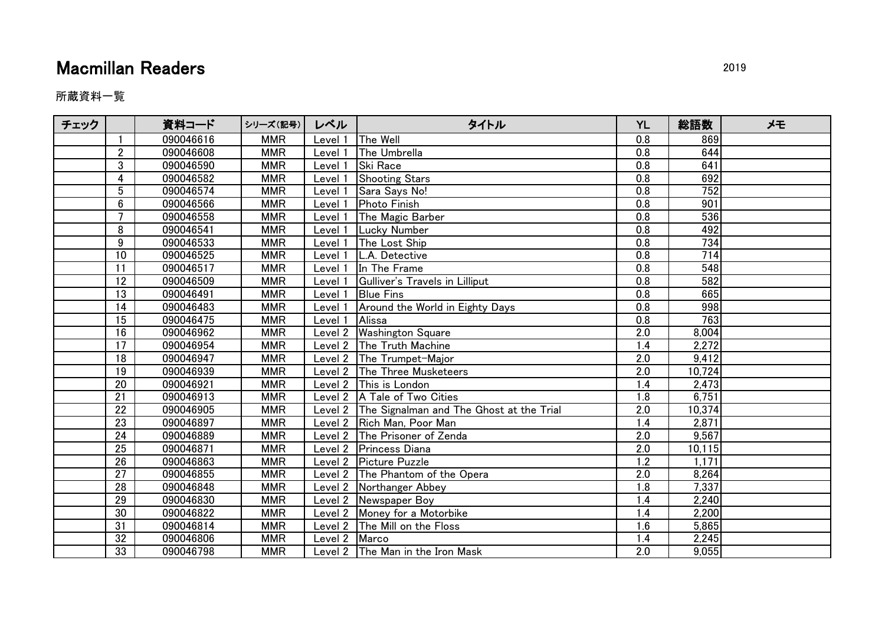## **Macmillan Readers** 2019

所蔵資料一覧

| チェック |                 | 資料コード     | シリーズ(記号)   | レベル           | タイトル                                             | <b>YL</b>        | 総語数              | メモ |
|------|-----------------|-----------|------------|---------------|--------------------------------------------------|------------------|------------------|----|
|      |                 | 090046616 | <b>MMR</b> | Level 1       | The Well                                         | 0.8              | 869              |    |
|      | $\overline{2}$  | 090046608 | <b>MMR</b> | Level 1       | The Umbrella                                     | 0.8              | 644              |    |
|      | 3               | 090046590 | <b>MMR</b> | Level 1       | <b>Ski Race</b>                                  | 0.8              | 641              |    |
|      | 4               | 090046582 | <b>MMR</b> | Level 1       | <b>Shooting Stars</b>                            | 0.8              | 692              |    |
|      | 5               | 090046574 | <b>MMR</b> | Level 1       | Sara Says No!                                    | $\overline{0.8}$ | 752              |    |
|      | $6\phantom{1}$  | 090046566 | <b>MMR</b> | Level 1       | <b>Photo Finish</b>                              | 0.8              | 901              |    |
|      | $\overline{7}$  | 090046558 | <b>MMR</b> | Level 1       | The Magic Barber                                 | 0.8              | 536              |    |
|      | 8               | 090046541 | <b>MMR</b> | Level :       | <b>Lucky Number</b>                              | 0.8              | 492              |    |
|      | 9               | 090046533 | <b>MMR</b> | Level 1       | The Lost Ship                                    | 0.8              | 734              |    |
|      | 10              | 090046525 | <b>MMR</b> | Level 1       | L.A. Detective                                   | 0.8              | 714              |    |
|      | $\overline{11}$ | 090046517 | <b>MMR</b> | Level 1       | In The Frame                                     | $\overline{0.8}$ | $\overline{548}$ |    |
|      | 12              | 090046509 | <b>MMR</b> | Level 1       | Gulliver's Travels in Lilliput                   | 0.8              | 582              |    |
|      | 13              | 090046491 | <b>MMR</b> | Level 1       | <b>Blue Fins</b>                                 | 0.8              | 665              |    |
|      | 14              | 090046483 | <b>MMR</b> | Level         | Around the World in Eighty Days                  | $\overline{0.8}$ | 998              |    |
|      | 15              | 090046475 | <b>MMR</b> | Level 1       | Alissa                                           | 0.8              | 763              |    |
|      | 16              | 090046962 | <b>MMR</b> |               | Level 2   Washington Square                      | 2.0              | 8,004            |    |
|      | 17              | 090046954 | <b>MMR</b> |               | Level 2 The Truth Machine                        | 1.4              | 2,272            |    |
|      | 18              | 090046947 | <b>MMR</b> |               | Level 2 The Trumpet-Major                        | 2.0              | 9,412            |    |
|      | 19              | 090046939 | <b>MMR</b> |               | Level 2 The Three Musketeers                     | 2.0              | 10,724           |    |
|      | 20              | 090046921 | <b>MMR</b> |               | Level 2 This is London                           | 1.4              | 2,473            |    |
|      | 21              | 090046913 | <b>MMR</b> |               | Level 2   A Tale of Two Cities                   | 1.8              | 6,751            |    |
|      | 22              | 090046905 | <b>MMR</b> |               | Level 2 The Signalman and The Ghost at the Trial | 2.0              | 10,374           |    |
|      | $\overline{23}$ | 090046897 | <b>MMR</b> |               | Level 2 Rich Man, Poor Man                       | 1.4              | 2,871            |    |
|      | 24              | 090046889 | <b>MMR</b> |               | Level 2 The Prisoner of Zenda                    | 2.0              | 9,567            |    |
|      | $\overline{25}$ | 090046871 | <b>MMR</b> |               | Level 2 Princess Diana                           | 2.0              | 10,115           |    |
|      | 26              | 090046863 | <b>MMR</b> |               | Level 2 Picture Puzzle                           | $\overline{1.2}$ | 1,171            |    |
|      | 27              | 090046855 | <b>MMR</b> |               | Level 2 The Phantom of the Opera                 | 2.0              | 8,264            |    |
|      | 28              | 090046848 | <b>MMR</b> |               | Level 2 Northanger Abbey                         | 1.8              | 7,337            |    |
|      | 29              | 090046830 | <b>MMR</b> |               | Level 2 Newspaper Boy                            | 1.4              | 2,240            |    |
|      | 30              | 090046822 | <b>MMR</b> |               | Level 2   Money for a Motorbike                  | 1.4              | 2,200            |    |
|      | 31              | 090046814 | <b>MMR</b> |               | Level $2$ The Mill on the Floss                  | 1.6              | 5,865            |    |
|      | 32              | 090046806 | <b>MMR</b> | Level 2 Marco |                                                  | 1.4              | 2,245            |    |
|      | 33              | 090046798 | <b>MMR</b> |               | Level 2 The Man in the Iron Mask                 | 2.0              | 9,055            |    |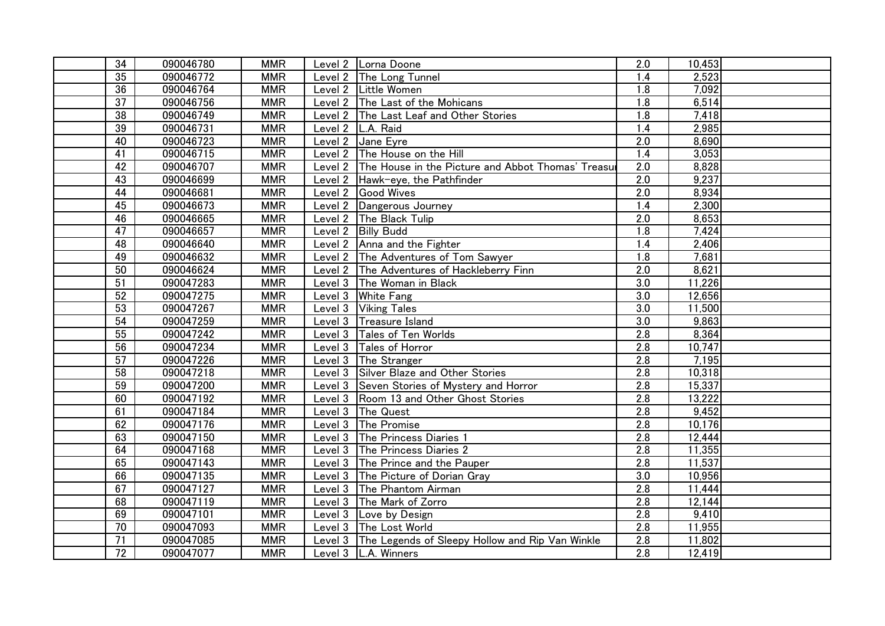| $\overline{34}$ | 090046780 | <b>MMR</b> | Level 2 Lorna Doone                                        | 2.0              | 10,453 |  |
|-----------------|-----------|------------|------------------------------------------------------------|------------------|--------|--|
| 35              | 090046772 | <b>MMR</b> | Level 2   The Long Tunnel                                  | 1.4              | 2,523  |  |
| 36              | 090046764 | <b>MMR</b> | Level 2 Little Women                                       | $\overline{1.8}$ | 7,092  |  |
| $\overline{37}$ | 090046756 | <b>MMR</b> | Level 2 The Last of the Mohicans                           | 1.8              | 6,514  |  |
| 38              | 090046749 | <b>MMR</b> | Level 2 The Last Leaf and Other Stories                    | 1.8              | 7,418  |  |
| 39              | 090046731 | <b>MMR</b> | Level 2   L.A. Raid                                        | 1.4              | 2,985  |  |
| 40              | 090046723 | <b>MMR</b> | Level 2 Jane Eyre                                          | 2.0              | 8,690  |  |
| $\overline{41}$ | 090046715 | <b>MMR</b> | Level 2 The House on the Hill                              | 1.4              | 3,053  |  |
| 42              | 090046707 | <b>MMR</b> | Level 2 The House in the Picture and Abbot Thomas' Treasur | $\overline{2.0}$ | 8,828  |  |
| 43              | 090046699 | <b>MMR</b> | Level 2 Hawk-eye, the Pathfinder                           | 2.0              | 9,237  |  |
| 44              | 090046681 | <b>MMR</b> | Level 2 Good Wives                                         | 2.0              | 8,934  |  |
| 45              | 090046673 | <b>MMR</b> | Level 2 Dangerous Journey                                  | 1.4              | 2,300  |  |
| 46              | 090046665 | <b>MMR</b> | Level 2   The Black Tulip                                  | $\overline{2.0}$ | 8,653  |  |
| $\overline{47}$ | 090046657 | <b>MMR</b> | Level 2 Billy Budd                                         | $\overline{1.8}$ | 7,424  |  |
| 48              | 090046640 | <b>MMR</b> | Level 2 Anna and the Fighter                               | 1.4              | 2,406  |  |
| 49              | 090046632 | <b>MMR</b> | Level 2 The Adventures of Tom Sawyer                       | 1.8              | 7,681  |  |
| 50              | 090046624 | <b>MMR</b> | Level 2 The Adventures of Hackleberry Finn                 | 2.0              | 8,621  |  |
| $\overline{51}$ | 090047283 | <b>MMR</b> | Level 3 The Woman in Black                                 | 3.0              | 11,226 |  |
| 52              | 090047275 | <b>MMR</b> | Level 3 White Fang                                         | 3.0              | 12,656 |  |
| 53              | 090047267 | <b>MMR</b> | Level 3 Viking Tales                                       | 3.0              | 11,500 |  |
| 54              | 090047259 | <b>MMR</b> | Level 3 Treasure Island                                    | $\overline{3.0}$ | 9,863  |  |
| 55              | 090047242 | <b>MMR</b> | Level 3 Tales of Ten Worlds                                | $\overline{2.8}$ | 8,364  |  |
| 56              | 090047234 | <b>MMR</b> | Level 3 Tales of Horror                                    | 2.8              | 10,747 |  |
| 57              | 090047226 | <b>MMR</b> | Level 3 The Stranger                                       | 2.8              | 7,195  |  |
| 58              | 090047218 | <b>MMR</b> | Level 3 Silver Blaze and Other Stories                     | 2.8              | 10,318 |  |
| 59              | 090047200 | <b>MMR</b> | Level 3 Seven Stories of Mystery and Horror                | 2.8              | 15,337 |  |
| 60              | 090047192 | <b>MMR</b> | Level 3 Room 13 and Other Ghost Stories                    | $\overline{2.8}$ | 13,222 |  |
| 61              | 090047184 | <b>MMR</b> | Level 3 The Quest                                          | 2.8              | 9,452  |  |
| 62              | 090047176 | <b>MMR</b> | Level 3 The Promise                                        | 2.8              | 10,176 |  |
| 63              | 090047150 | <b>MMR</b> | Level 3 The Princess Diaries 1                             | $\overline{2.8}$ | 12,444 |  |
| 64              | 090047168 | <b>MMR</b> | Level 3 The Princess Diaries 2                             | 2.8              | 11,355 |  |
| 65              | 090047143 | <b>MMR</b> | Level 3 The Prince and the Pauper                          | 2.8              | 11,537 |  |
| 66              | 090047135 | <b>MMR</b> | Level 3 The Picture of Dorian Gray                         | 3.0              | 10,956 |  |
| 67              | 090047127 | <b>MMR</b> | Level 3 The Phantom Airman                                 | 2.8              | 11,444 |  |
| 68              | 090047119 | <b>MMR</b> | Level 3 The Mark of Zorro                                  | 2.8              | 12,144 |  |
| 69              | 090047101 | <b>MMR</b> | Level 3 Love by Design                                     | 2.8              | 9,410  |  |
| 70              | 090047093 | <b>MMR</b> | Level 3 The Lost World                                     | 2.8              | 11,955 |  |
| $\overline{71}$ | 090047085 | <b>MMR</b> | Level 3 The Legends of Sleepy Hollow and Rip Van Winkle    | 2.8              | 11,802 |  |
| $\overline{72}$ | 090047077 | <b>MMR</b> | Level 3   L.A. Winners                                     | $\overline{2.8}$ | 12,419 |  |